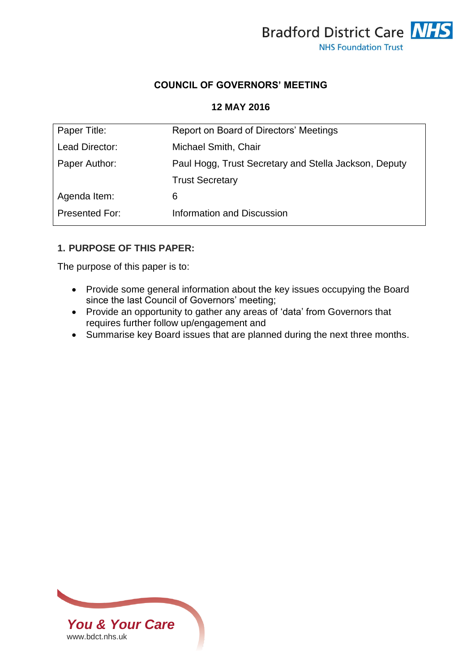

# **COUNCIL OF GOVERNORS' MEETING**

#### **12 MAY 2016**

| Paper Title:   | Report on Board of Directors' Meetings                |
|----------------|-------------------------------------------------------|
| Lead Director: | Michael Smith, Chair                                  |
| Paper Author:  | Paul Hogg, Trust Secretary and Stella Jackson, Deputy |
|                | <b>Trust Secretary</b>                                |
| Agenda Item:   | 6                                                     |
| Presented For: | Information and Discussion                            |
|                |                                                       |

### **1. PURPOSE OF THIS PAPER:**

The purpose of this paper is to:

- Provide some general information about the key issues occupying the Board since the last Council of Governors' meeting;
- Provide an opportunity to gather any areas of 'data' from Governors that requires further follow up/engagement and
- Summarise key Board issues that are planned during the next three months.

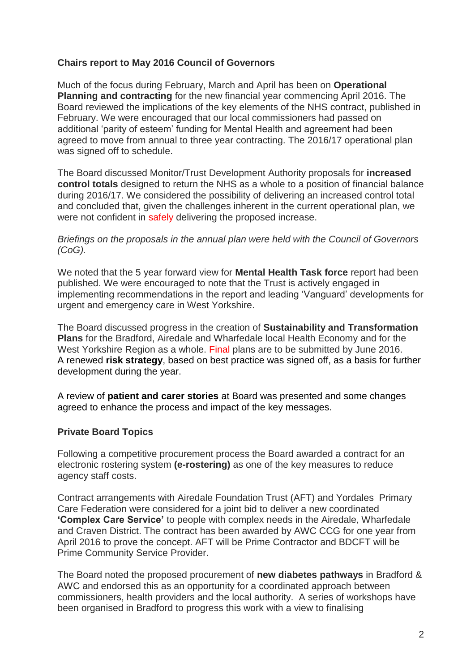## **Chairs report to May 2016 Council of Governors**

Much of the focus during February, March and April has been on **Operational Planning and contracting** for the new financial year commencing April 2016. The Board reviewed the implications of the key elements of the NHS contract, published in February. We were encouraged that our local commissioners had passed on additional 'parity of esteem' funding for Mental Health and agreement had been agreed to move from annual to three year contracting. The 2016/17 operational plan was signed off to schedule.

The Board discussed Monitor/Trust Development Authority proposals for **increased control totals** designed to return the NHS as a whole to a position of financial balance during 2016/17. We considered the possibility of delivering an increased control total and concluded that, given the challenges inherent in the current operational plan, we were not confident in safely delivering the proposed increase.

*Briefings on the proposals in the annual plan were held with the Council of Governors (CoG).*

We noted that the 5 year forward view for **Mental Health Task force** report had been published. We were encouraged to note that the Trust is actively engaged in implementing recommendations in the report and leading 'Vanguard' developments for urgent and emergency care in West Yorkshire.

The Board discussed progress in the creation of **Sustainability and Transformation Plans** for the Bradford, Airedale and Wharfedale local Health Economy and for the West Yorkshire Region as a whole. Final plans are to be submitted by June 2016. A renewed **risk strategy**, based on best practice was signed off, as a basis for further development during the year.

A review of **patient and carer stories** at Board was presented and some changes agreed to enhance the process and impact of the key messages.

### **Private Board Topics**

Following a competitive procurement process the Board awarded a contract for an electronic rostering system **(e-rostering)** as one of the key measures to reduce agency staff costs.

Contract arrangements with Airedale Foundation Trust (AFT) and Yordales Primary Care Federation were considered for a joint bid to deliver a new coordinated **'Complex Care Service'** to people with complex needs in the Airedale, Wharfedale and Craven District. The contract has been awarded by AWC CCG for one year from April 2016 to prove the concept. AFT will be Prime Contractor and BDCFT will be Prime Community Service Provider.

The Board noted the proposed procurement of **new diabetes pathways** in Bradford & AWC and endorsed this as an opportunity for a coordinated approach between commissioners, health providers and the local authority. A series of workshops have been organised in Bradford to progress this work with a view to finalising